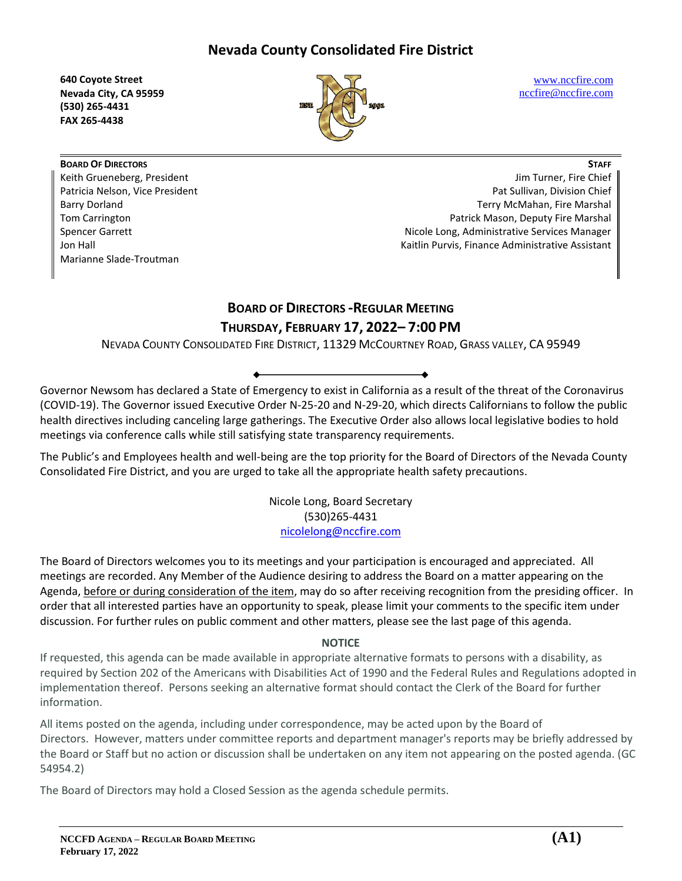**640 Coyote Street Nevada City, CA 95959 (530) 265-4431 FAX 265-4438**



[www.nccfire.com](http://www.nccfire.com/) [nccfire@nccfire.com](mailto:nccfire@nccfire.com)

**BOARD OF DIRECTORS** Keith Grueneberg, President Patricia Nelson, Vice President Barry Dorland Tom Carrington Spencer Garrett Jon Hall Marianne Slade-Troutman

**STAFF** Jim Turner, Fire Chief Pat Sullivan, Division Chief Terry McMahan, Fire Marshal Patrick Mason, Deputy Fire Marshal Nicole Long, Administrative Services Manager Kaitlin Purvis, Finance Administrative Assistant

# **BOARD OF DIRECTORS -REGULAR MEETING THURSDAY, FEBRUARY 17, 2022– 7:00 PM**

NEVADA COUNTY CONSOLIDATED FIRE DISTRICT, 11329 MCCOURTNEY ROAD, GRASS VALLEY, CA 95949

Governor Newsom has declared a State of Emergency to exist in California as a result of the threat of the Coronavirus (COVID-19). The Governor issued Executive Order N-25-20 and N-29-20, which directs Californians to follow the public health directives including canceling large gatherings. The Executive Order also allows local legislative bodies to hold meetings via conference calls while still satisfying state transparency requirements.

The Public's and Employees health and well-being are the top priority for the Board of Directors of the Nevada County Consolidated Fire District, and you are urged to take all the appropriate health safety precautions.

> Nicole Long, Board Secretary (530)265-4431 [nicolelong@nccfire.com](mailto:nicolelong@nccfire.com)

The Board of Directors welcomes you to its meetings and your participation is encouraged and appreciated. All meetings are recorded. Any Member of the Audience desiring to address the Board on a matter appearing on the Agenda, before or during consideration of the item, may do so after receiving recognition from the presiding officer. In order that all interested parties have an opportunity to speak, please limit your comments to the specific item under discussion. For further rules on public comment and other matters, please see the last page of this agenda.

# **NOTICE**

If requested, this agenda can be made available in appropriate alternative formats to persons with a disability, as required by Section 202 of the Americans with Disabilities Act of 1990 and the Federal Rules and Regulations adopted in implementation thereof. Persons seeking an alternative format should contact the Clerk of the Board for further information.

All items posted on the agenda, including under correspondence, may be acted upon by the Board of Directors. However, matters under committee reports and department manager's reports may be briefly addressed by the Board or Staff but no action or discussion shall be undertaken on any item not appearing on the posted agenda. (GC 54954.2)

The Board of Directors may hold a Closed Session as the agenda schedule permits.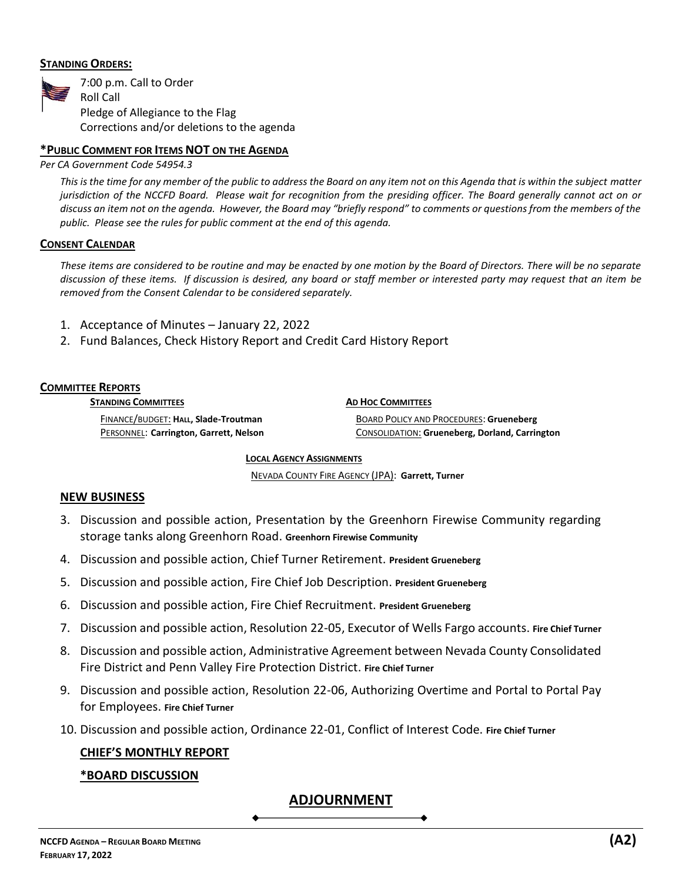# **STANDING ORDERS:**



# **\*PUBLIC COMMENT FOR ITEMS NOT ON THE AGENDA**

*Per CA Government Code 54954.3*

*This is the time for any member of the public to address the Board on any item not on this Agenda that is within the subject matter jurisdiction of the NCCFD Board. Please wait for recognition from the presiding officer. The Board generally cannot act on or discuss an item not on the agenda. However, the Board may "briefly respond" to comments or questions from the members of the public. Please see the rules for public comment at the end of this agenda.*

### **CONSENT CALENDAR**

*These items are considered to be routine and may be enacted by one motion by the Board of Directors. There will be no separate discussion of these items. If discussion is desired, any board or staff member or interested party may request that an item be removed from the Consent Calendar to be considered separately.* 

- 1. Acceptance of Minutes January 22, 2022
- 2. Fund Balances, Check History Report and Credit Card History Report

### **COMMITTEE REPORTS**

**STANDING COMMITTEES**

**AD HOC COMMITTEES**

FINANCE/BUDGET: **HALL, Slade-Troutman**  PERSONNEL: **Carrington, Garrett, Nelson**

BOARD POLICY AND PROCEDURES: **Grueneberg** CONSOLIDATION: **Grueneberg, Dorland, Carrington**

#### **LOCAL AGENCY ASSIGNMENTS**

NEVADA COUNTY FIRE AGENCY (JPA): **Garrett, Turner**

### **NEW BUSINESS**

- 3. Discussion and possible action, Presentation by the Greenhorn Firewise Community regarding storage tanks along Greenhorn Road. **Greenhorn Firewise Community**
- 4. Discussion and possible action, Chief Turner Retirement. **President Grueneberg**
- 5. Discussion and possible action, Fire Chief Job Description. **President Grueneberg**
- 6. Discussion and possible action, Fire Chief Recruitment. **President Grueneberg**
- 7. Discussion and possible action, Resolution 22-05, Executor of Wells Fargo accounts. **Fire Chief Turner**
- 8. Discussion and possible action, Administrative Agreement between Nevada County Consolidated Fire District and Penn Valley Fire Protection District. **Fire Chief Turner**
- 9. Discussion and possible action, Resolution 22-06, Authorizing Overtime and Portal to Portal Pay for Employees. **Fire Chief Turner**
- 10. Discussion and possible action, Ordinance 22-01, Conflict of Interest Code. **Fire Chief Turner**

# **CHIEF'S MONTHLY REPORT**

### **\*BOARD DISCUSSION**

# **ADJOURNMENT**